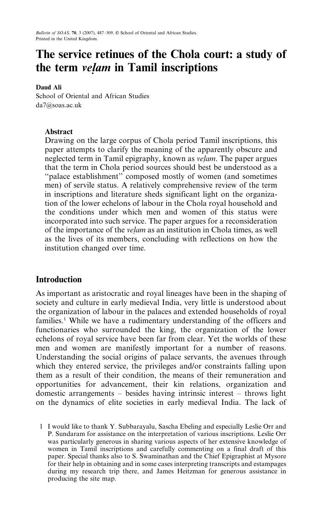# The service retinues of the Chola court: a study of the term *velam* in Tamil inscriptions

#### Daud Ali

School of Oriental and African Studies  $da7@soas.ac.uk$ 

## **Abstract**

Drawing on the large corpus of Chola period Tamil inscriptions, this paper attempts to clarify the meaning of the apparently obscure and neglected term in Tamil epigraphy, known as *velam*. The paper argues that the term in Chola period sources should best be understood as a "palace establishment" composed mostly of women (and sometimes men) of servile status. A relatively comprehensive review of the term in inscriptions and literature sheds significant light on the organization of the lower echelons of labour in the Chola royal household and the conditions under which men and women of this status were incorporated into such service. The paper argues for a reconsideration of the importance of the *velam* as an institution in Chola times, as well as the lives of its members, concluding with reflections on how the institution changed over time.

## **Introduction**

As important as aristocratic and royal lineages have been in the shaping of society and culture in early medieval India, very little is understood about the organization of labour in the palaces and extended households of royal families.<sup>1</sup> While we have a rudimentary understanding of the officers and functionaries who surrounded the king, the organization of the lower echelons of royal service have been far from clear. Yet the worlds of these men and women are manifestly important for a number of reasons. Understanding the social origins of palace servants, the avenues through which they entered service, the privileges and/or constraints falling upon them as a result of their condition, the means of their remuneration and opportunities for advancement, their kin relations, organization and domestic arrangements  $-$  besides having intrinsic interest  $-$  throws light on the dynamics of elite societies in early medieval India. The lack of

1 I would like to thank Y. Subbarayalu, Sascha Ebeling and especially Leslie Orr and P. Sundaram for assistance on the interpretation of various inscriptions. Leslie Orr was particularly generous in sharing various aspects of her extensive knowledge of women in Tamil inscriptions and carefully commenting on a final draft of this paper. Special thanks also to S. Swaminathan and the Chief Epigraphist at Mysore for their help in obtaining and in some cases interpreting transcripts and estampages during my research trip there, and James Heitzman for generous assistance in producing the site map.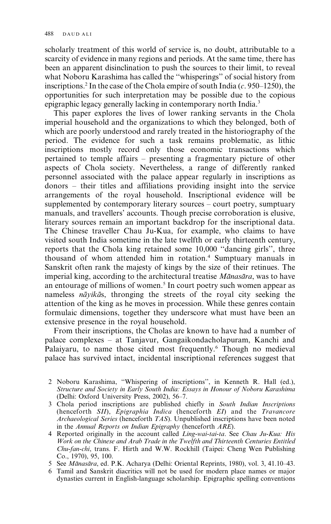scholarly treatment of this world of service is, no doubt, attributable to a scarcity of evidence in many regions and periods. At the same time, there has been an apparent disinclination to push the sources to their limit, to reveal what Noboru Karashima has called the "whisperings" of social history from inscriptions.<sup>2</sup> In the case of the Chola empire of south India  $(c. 950-1250)$ , the opportunities for such interpretation may be possible due to the copious epigraphic legacy generally lacking in contemporary north India.<sup>3</sup>

This paper explores the lives of lower ranking servants in the Chola imperial household and the organizations to which they belonged, both of which are poorly understood and rarely treated in the historiography of the period. The evidence for such a task remains problematic, as lithic inscriptions mostly record only those economic transactions which pertained to temple affairs – presenting a fragmentary picture of other aspects of Chola society. Nevertheless, a range of differently ranked personnel associated with the palace appear regularly in inscriptions as donors – their titles and affiliations providing insight into the service arrangements of the royal household. Inscriptional evidence will be supplemented by contemporary literary sources – court poetry, sumptuary manuals, and travellers' accounts. Though precise corroboration is elusive, literary sources remain an important backdrop for the inscriptional data. The Chinese traveller Chau Ju-Kua, for example, who claims to have visited south India sometime in the late twelfth or early thirteenth century, reports that the Chola king retained some 10,000 "dancing girls", three thousand of whom attended him in rotation.<sup>4</sup> Sumptuary manuals in Sanskrit often rank the majesty of kings by the size of their retinues. The imperial king, according to the architectural treatise *Mānasāra*, was to have an entourage of millions of women.<sup>5</sup> In court poetry such women appear as nameless nāyikās, thronging the streets of the royal city seeking the attention of the king as he moves in procession. While these genres contain formulaic dimensions, together they underscore what must have been an extensive presence in the royal household.

From their inscriptions, the Cholas are known to have had a number of palace complexes – at Tanjavur, Gangaikondacholapuram, Kanchi and Palaiyaru, to name those cited most frequently.<sup>6</sup> Though no medieval palace has survived intact, incidental inscriptional references suggest that

- 2 Noboru Karashima, "Whispering of inscriptions", in Kenneth R. Hall (ed.), Structure and Society in Early South India: Essays in Honour of Noboru Karashima (Delhi: Oxford University Press, 2002), 56–7.
- 3 Chola period inscriptions are published chiefly in South Indian Inscriptions (henceforth SII), Epigraphia Indica (henceforth EI) and the Travancore Archaeological Series (henceforth TAS). Unpublished inscriptions have been noted in the Annual Reports on Indian Epigraphy (henceforth ARE).
- 4 Reported originally in the account called Ling-wai-tai-ta. See Chau Ju-Kua: His Work on the Chinese and Arab Trade in the Twelfth and Thirteenth Centuries Entitled Chu-fan-chi, trans. F. Hirth and W.W. Rockhill (Taipei: Cheng Wen Publishing Co., 1970), 95, 100.
- 5 See Mānasāra, ed. P.K. Acharya (Delhi: Oriental Reprints, 1980), vol. 3, 41.10–43.
- 6 Tamil and Sanskrit diacritics will not be used for modern place names or major dynasties current in English-language scholarship. Epigraphic spelling conventions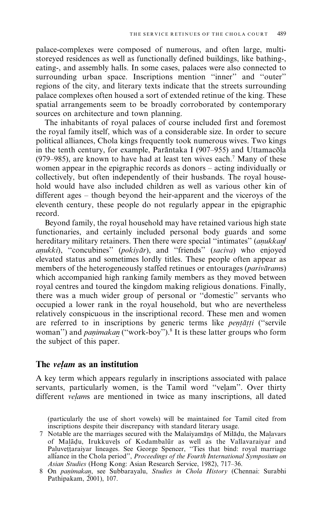palace-complexes were composed of numerous, and often large, multistoreyed residences as well as functionally defined buildings, like bathing-, eating-, and assembly halls. In some cases, palaces were also connected to surrounding urban space. Inscriptions mention "inner" and "outer" regions of the city, and literary texts indicate that the streets surrounding palace complexes often housed a sort of extended retinue of the king. These spatial arrangements seem to be broadly corroborated by contemporary sources on architecture and town planning.

The inhabitants of royal palaces of course included first and foremost the royal family itself, which was of a considerable size. In order to secure political alliances, Chola kings frequently took numerous wives. Two kings in the tenth century, for example, Parantaka I (907–955) and Uttamacola (979–985), are known to have had at least ten wives each.<sup>7</sup> Many of these women appear in the epigraphic records as donors  $-$  acting individually or collectively, but often independently of their husbands. The royal household would have also included children as well as various other kin of different ages – though beyond the heir-apparent and the viceroys of the eleventh century, these people do not regularly appear in the epigraphic record.

Beyond family, the royal household may have retained various high state functionaries, and certainly included personal body guards and some hereditary military retainers. Then there were special "intimates" (anukkan/ *anukki*), "concubines" (*pokiyar*), and "friends" (*saciva*) who enjoyed elevated status and sometimes lordly titles. These people often appear as members of the heterogeneously staffed retinues or entourages (parivarams) which accompanied high ranking family members as they moved between royal centres and toured the kingdom making religious donations. Finally, there was a much wider group of personal or "domestic" servants who occupied a lower rank in the royal household, but who are nevertheless relatively conspicuous in the inscriptional record. These men and women are referred to in inscriptions by generic terms like *pentatti* ("servile woman") and *panimakan* ("work-boy").<sup>8</sup> It is these latter groups who form the subject of this paper.

## The *velam* as an institution

A key term which appears regularly in inscriptions associated with palace servants, particularly women, is the Tamil word "velam". Over thirty different *velams* are mentioned in twice as many inscriptions, all dated

(particularly the use of short vowels) will be maintained for Tamil cited from inscriptions despite their discrepancy with standard literary usage.

7 Notable are the marriages secured with the Malaiyamans of Miladu, the Malavars of Malādu, Irukkuvels of Kodambalūr as well as the Vallavaraiyar and Paluvettaraiyar lineages. See George Spencer, "Ties that bind: royal marriage alliance in the Chola period", Proceedings of the Fourth International Symposium on Asian Studies (Hong Kong: Asian Research Service, 1982), 717-36.

<sup>8</sup> On panimakan, see Subbarayalu, Studies in Chola History (Chennai: Surabhi Pathipakam, 2001), 107.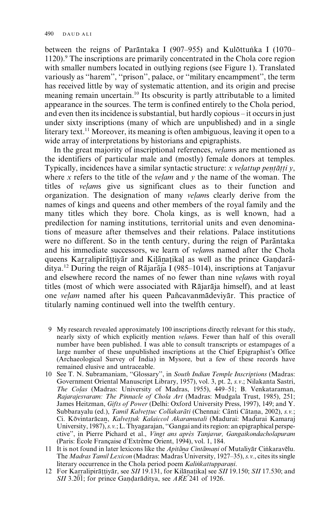between the reigns of Parantaka I (907–955) and Kulottunka I (1070– 1120).<sup>9</sup> The inscriptions are primarily concentrated in the Chola core region with smaller numbers located in outlying regions (see Figure 1). Translated variously as "harem", "prison", palace, or "military encampment", the term has received little by way of systematic attention, and its origin and precise meaning remain uncertain.<sup>10</sup> Its obscurity is partly attributable to a limited appearance in the sources. The term is confined entirely to the Chola period, and even then its incidence is substantial, but hardly copious – it occurs in just under sixty inscriptions (many of which are unpublished) and in a single literary text.<sup>11</sup> Moreover, its meaning is often ambiguous, leaving it open to a wide array of interpretations by historians and epigraphists.

In the great majority of inscriptional references, *velams* are mentioned as the identifiers of particular male and (mostly) female donors at temples. Typically, incidences have a similar syntactic structure: x velattup pentatii  $v$ , where  $x$  refers to the title of the *velam* and  $y$  the name of the woman. The titles of *velams* give us significant clues as to their function and organization. The designation of many velams clearly derive from the names of kings and queens and other members of the royal family and the many titles which they bore. Chola kings, as is well known, had a predilection for naming institutions, territorial units and even denominations of measure after themselves and their relations. Palace institutions were no different. So in the tenth century, during the reign of Parantaka and his immediate successors, we learn of velams named after the Chola queens Karralipirattivar and Kilanatikal as well as the prince Gandaraditya.<sup>12</sup> During the reign of Rājarāja I (985–1014), inscriptions at Tanjavur and elsewhere record the names of no fewer than nine velams with royal titles (most of which were associated with Rājarāja himself), and at least one velam named after his queen Pañcavanmādeviyār. This practice of titularly naming continued well into the twelfth century.

- 9 My research revealed approximately 100 inscriptions directly relevant for this study, nearly sixty of which explicitly mention *velams*. Fewer than half of this overall number have been published. I was able to consult transcripts or estampages of a large number of these unpublished inscriptions at the Chief Epigraphist's Office (Archaeological Survey of India) in Mysore, but a few of these records have remained elusive and untraceable.
- 10 See T. N. Subramaniam, "Glossary", in South Indian Temple Inscriptions (Madras: Government Oriental Manuscript Library, 1957), vol. 3, pt. 2, s.v.; Nilakanta Sastri, The Colas (Madras: University of Madras, 1955), 449-51; B. Venkataraman, Rajarajesvaram: The Pinnacle of Chola Art (Madras: Mudgala Trust, 1985), 251; James Heitzman, Gifts of Power (Delhi: Oxford University Press, 1997), 149; and Y. Subbarayalu (ed.), Tamil Kalvettuc Collakarāti (Chennai: Cānti Cātana, 2002), s.v.; Ci. Kōvintarācan, Kalvețtuk Kalaiccol Akaramutali (Madurai: Madurai Kamaraj University, 1987), s.v.; L. Thyagarajan, "Gangai and its region: an epigraphical perspective", in Pierre Pichard et al., Vingt ans après Tanjavur, Gangaikondacholapuram (Paris: École Française d'Extrême Orient, 1994), vol. 1, 184.
- 11 It is not found in later lexicons like the *Apitana Cintamani* of Mutaliyar Cinkaravelu. The Madras Tamil Lexicon (Madras: Madras University, 1927–35), s.v., cites its single literary occurrence in the Chola period poem Kalinkattupparani.
- 12 For Karralipirattiyar, see SII 19.131, for Kilanatikal see SII 19.150; SII 17.530; and  $SII$  3.201; for prince Gandaraditya, see ARE 241 of 1926.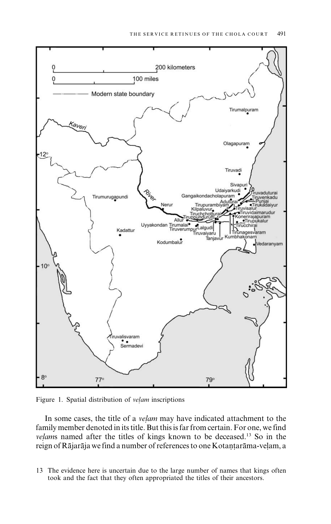

Figure 1. Spatial distribution of *velam* inscriptions

In some cases, the title of a *velam* may have indicated attachment to the family member denoted in its title. But this is far from certain. For one, we find velams named after the titles of kings known to be deceased.<sup>13</sup> So in the reign of Rājarāja we find a number of references to one Kotantarāma-veļam, a

13 The evidence here is uncertain due to the large number of names that kings often took and the fact that they often appropriated the titles of their ancestors.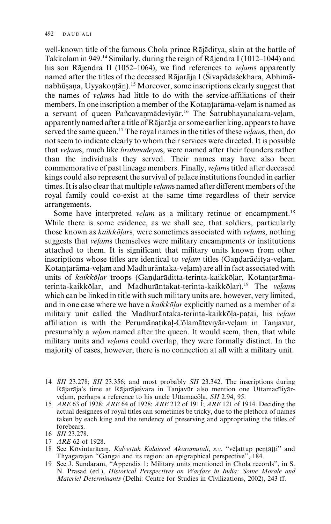well-known title of the famous Chola prince Rājāditva, slain at the battle of Takkolam in 949.<sup>14</sup> Similarly, during the reign of Rajendra I (1012-1044) and his son Rājendra II (1052–1064), we find references to *velams* apparently named after the titles of the deceased Rājarāja I (Śivapādaśekhara, Abhimānabhūsana, Uyyakontān).<sup>15</sup> Moreover, some inscriptions clearly suggest that the names of *velams* had little to do with the service-affiliations of their members. In one inscription a member of the Kotantarāma-velam is named as a servant of queen Pañcavanmādeviyār.<sup>16</sup> The Satrubhayanakara-veļam, apparently named after a title of Rājarāja or some earlier king, appears to have served the same queen.<sup>17</sup> The royal names in the titles of these *velams*, then, do not seem to indicate clearly to whom their services were directed. It is possible that velams, much like brahmadeyas, were named after their founders rather than the individuals they served. Their names may have also been commemorative of past lineage members. Finally, *velams* titled after deceased kings could also represent the survival of palace institutions founded in earlier times. It is also clear that multiple *velams* named after different members of the royal family could co-exist at the same time regardless of their service arrangements.

Some have interpreted *velam* as a military retinue or encampment.<sup>18</sup> While there is some evidence, as we shall see, that soldiers, particularly those known as *kaikkolars*, were sometimes associated with *velams*, nothing suggests that *velams* themselves were military encampments or institutions attached to them. It is significant that military units known from other inscriptions whose titles are identical to *velam* titles (Gandaraditya-velam, Kotantarāma-velam and Madhurāntaka-velam) are all in fact associated with units of kaikkolar troops (Gandarāditta-terinta-kaikkolar, Kotaņtarāmaterinta-kaikkōlar, and Madhurāntakat-terinta-kaikkōlar).<sup>19</sup> The velams which can be linked in title with such military units are, however, very limited, and in one case where we have a kaikkolar explicitly named as a member of a military unit called the Madhurāntaka-terinta-kaikkōla-patai, his velam affiliation is with the Perumānațikal-Cōlamāteviyār-veļam in Tanjavur, presumably a *velam* named after the queen. It would seem, then, that while military units and *velams* could overlap, they were formally distinct. In the majority of cases, however, there is no connection at all with a military unit.

- 14 SII 23.278; SII 23.356; and most probably SII 23.342. The inscriptions during Rājarāja's time at Rājarājesvara in Tanjavūr also mention one Uttamacīlivārvelam, perhaps a reference to his uncle Uttamacola, SII 2.94, 95.
- 15 ARE 63 of 1928; ARE 64 of 1928; ARE 212 of 1911; ARE 121 of 1914. Deciding the actual designees of royal titles can sometimes be tricky, due to the plethora of names taken by each king and the tendency of preserving and appropriating the titles of forebears.

- 17 ARE 62 of 1928.
- 18 See Kōvintarācan, Kalvettuk Kalaiccol Akaramutali, s.v. "vēlattup pentātti" and Thyagarajan "Gangai and its region: an epigraphical perspective", 184.
- 19 See J. Sundaram, "Appendix 1: Military units mentioned in Chola records", in S. N. Prasad (ed.), Historical Perspectives on Warfare in India: Some Morale and *Materiel Determinants* (Delhi: Centre for Studies in Civilizations, 2002), 243 ff.

<sup>16</sup> SII 23.278.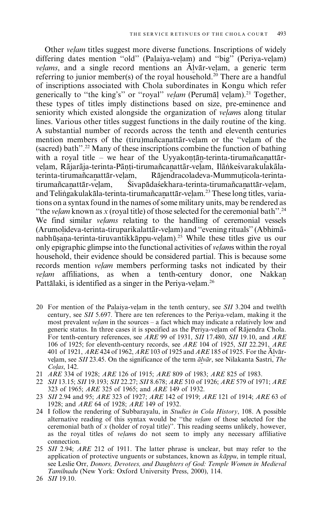Other *velam* titles suggest more diverse functions. Inscriptions of widely differing dates mention "old" (Palaiya-velam) and "big" (Periya-velam) velams, and a single record mentions an Alvār-velam, a generic term referring to junior member(s) of the royal household.<sup>20</sup> There are a handful of inscriptions associated with Chola subordinates in Kongu which refer generically to "the king's" or "royal" velam (Perumāl velam).<sup>21</sup> Together, these types of titles imply distinctions based on size, pre-eminence and seniority which existed alongside the organization of *velams* along titular lines. Various other titles suggest functions in the daily routine of the king. A substantial number of records across the tenth and eleventh centuries mention members of the (tiru)mañcanattār-velam or the "velam of the (sacred) bath".<sup>22</sup> Many of these inscriptions combine the function of bathing with a royal title – we hear of the Uyyakontān-terinta-tirumañcanattārvelam, Rājarāja-terinta-Pānti-tirumañcanattār-velam, Ilānkesvarakulakāla-Rājendracoladeva-Mummuticola-terintaterinta-tirumañcanattār-velam, Śivapādaśekhara-terinta-tirumañcanattār-velam, tirumañcanattār-velam. and Telingakulakāla-terinta-tirumañ canattār-velam.<sup>23</sup> These long titles, variations on a syntax found in the names of some military units, may be rendered as "the velam known as x (royal title) of those selected for the ceremonial bath".<sup>24</sup> We find similar velams relating to the handling of ceremonial vessels (Arumolideva-terinta-tiruparikalattār-velam) and "evening rituals" (Abhimānabhūsana-terinta-tiruvantikkāppu-velam).<sup>25</sup> While these titles give us our only epigraphic glimpse into the functional activities of *velams* within the royal household, their evidence should be considered partial. This is because some records mention *velam* members performing tasks not indicated by their velam affiliations, as when a tenth-century donor, one Nakkan Pattālaki, is identified as a singer in the Periya-velam.<sup>26</sup>

- 20 For mention of the Palaiya-velam in the tenth century, see SII 3.204 and twelfth century, see SII 5.697. There are ten references to the Periya-velam, making it the most prevalent *velam* in the sources – a fact which may indicate a relatively low and generic status. In three cases it is specified as the Periya-velam of Rājendra Chola. For tenth-century references, see ARE 99 of 1931, SII 17.480, SII 19.10, and ARE 106 of 1925; for eleventh-century records, see ARE 104 of 1925, SII 22.291, ARE 401 of 1921, ARE 424 of 1962, ARE 103 of 1925 and ARE 185 of 1925. For the Alvārvelam, see SII 23.45. On the significance of the term  $\bar{a}lv\bar{a}r$ , see Nilakanta Sastri, The Colas, 142.
- 21 ARE 334 of 1928; ARE 126 of 1915; ARE 809 of 1983; ARE 825 of 1983.
- 22 SII 13.15; SII 19.193; SII 22.27; SII 8.678; ARE 510 of 1926; ARE 579 of 1971; ARE 323 of 1965; ARE 325 of 1965; and ARE 149 of 1932.
- 23 SII 2.94 and 95; ARE 323 of 1927; ARE 142 of 1919; ARE 121 of 1914; ARE 63 of 1928; and ARE 64 of 1928; ARE 149 of 1932.
- 24 I follow the rendering of Subbarayalu, in Studies in Cola History, 108. A possible alternative reading of this syntax would be "the velam of those selected for the ceremonial bath of  $x$  (holder of royal title)". This reading seems unlikely, however, as the royal titles of *velams* do not seem to imply any necessary affiliative connection.
- 25 SII 2.94; ARE 212 of 1911. The latter phrase is unclear, but may refer to the application of protective unguents or substances, known as  $\kappa \bar{a}ppu$ , in temple ritual, see Leslie Orr, Donors, Devotees, and Daughters of God: Temple Women in Medieval Tamilnadu (New York: Oxford University Press, 2000), 114.
- 26 SII 19.10.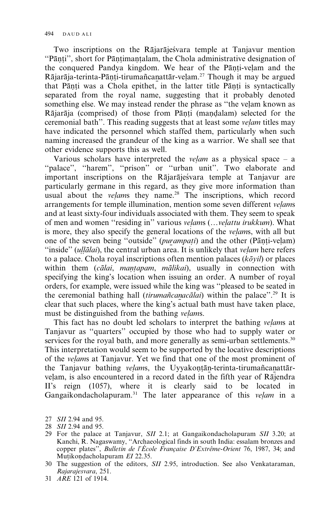Two inscriptions on the Raiaraiesvara temple at Tanjavur mention "Pānti", short for Pāntimantalam, the Chola administrative designation of the conquered Pandya kingdom. We hear of the Pānti-velam and the Rājarāja-terinta-Pāņți-tirumañcanattār-veļam.<sup>27</sup> Though it may be argued that Pānți was a Chola epithet, in the latter title Pānți is syntactically separated from the royal name, suggesting that it probably denoted something else. We may instead render the phrase as "the velam known as Rājarāja (comprised) of those from Pānti (mandalam) selected for the ceremonial bath". This reading suggests that at least some *velam* titles may have indicated the personnel which staffed them, particularly when such naming increased the grandeur of the king as a warrior. We shall see that other evidence supports this as well.

Various scholars have interpreted the *velam* as a physical space  $-$  a "palace", "harem", "prison" or "urban unit". Two elaborate and important inscriptions on the Rājarājesvara temple at Tanjavur are particularly germane in this regard, as they give more information than usual about the *velams* they name.<sup>28</sup> The inscriptions, which record arrangements for temple illumination, mention some seven different velams and at least sixty-four individuals associated with them. They seem to speak of men and women "residing in" various velams (...velattu irukkum). What is more, they also specify the general locations of the *velams*, with all but one of the seven being "outside" (purampati) and the other (Pāṇṭi-veḷam) "inside" (uļļālai), the central urban area. It is unlikely that veļam here refers to a palace. Chola royal inscriptions often mention palaces  $(k\bar{\sigma}yil)$  or places within them (cālai, mantapam, mālikai), usually in connection with specifying the king's location when issuing an order. A number of royal orders, for example, were issued while the king was "pleased to be seated in the ceremonial bathing hall (tirumañcanacālai) within the palace".<sup>29</sup> It is clear that such places, where the king's actual bath must have taken place, must be distinguished from the bathing velams.

This fact has no doubt led scholars to interpret the bathing velams at Tanjavur as "quarters" occupied by those who had to supply water or services for the royal bath, and more generally as semi-urban settlements.<sup>30</sup> This interpretation would seem to be supported by the locative descriptions of the velams at Tanjavur. Yet we find that one of the most prominent of the Tanjavur bathing velams, the Uyyakontān-terinta-tirumañcanattārvelam, is also encountered in a record dated in the fifth year of Rajendra II's reign (1057), where it is clearly said to be located in Gangaikondacholapuram.<sup>31</sup> The later appearance of this velam in a

- 27 SII 2.94 and 95.
- 28 SII 2.94 and 95.

<sup>29</sup> For the palace at Tanjavur, *SII* 2.1; at Gangaikondacholapuram *SII* 3.20; at Kanchi, R. Nagaswamy, "Archaeological finds in south India: essalam bronzes and copper plates", Bulletin de l'École Française D'Extrême-Orient 76, 1987, 34; and Mutikondacholapuram EI 22.35.

<sup>30</sup> The suggestion of the editors, SII 2.95, introduction. See also Venkataraman, Rajarajesvara, 251.

<sup>31</sup>  $\overline{ARE}$  121 of 1914.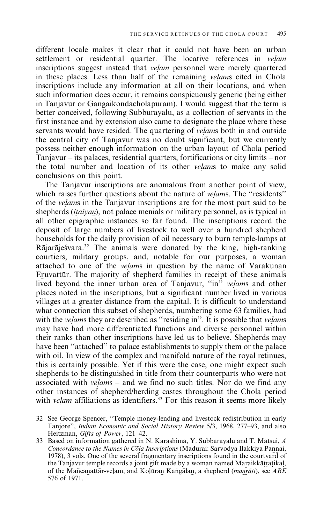different locale makes it clear that it could not have been an urban settlement or residential quarter. The locative references in *velam* inscriptions suggest instead that *velam* personnel were merely quartered in these places. Less than half of the remaining *velams* cited in Chola inscriptions include any information at all on their locations, and when such information does occur, it remains conspicuously generic (being either in Tanjavur or Gangaikondacholapuram). I would suggest that the term is better conceived, following Subburayalu, as a collection of servants in the first instance and by extension also came to designate the place where these servants would have resided. The quartering of *velams* both in and outside the central city of Tanjavur was no doubt significant, but we currently possess neither enough information on the urban layout of Chola period Tanjavur – its palaces, residential quarters, fortifications or city limits – nor the total number and location of its other velams to make any solid conclusions on this point.

The Tanjavur inscriptions are anomalous from another point of view, which raises further questions about the nature of *velams*. The "residents" of the *velams* in the Tanjavur inscriptions are for the most part said to be shepherds *(itaiyan)*, not palace menials or military personnel, as is typical in all other epigraphic instances so far found. The inscriptions record the deposit of large numbers of livestock to well over a hundred shepherd households for the daily provision of oil necessary to burn temple-lamps at  $R\bar{a}$ jar $\bar{a}$ jeśvara.<sup>32</sup> The animals were donated by the king, high-ranking courtiers, military groups, and, notable for our purposes, a woman attached to one of the *velams* in question by the name of Varakunan Eruvattūr. The majority of shepherd families in receipt of these animals lived beyond the inner urban area of Tanjavur, "in" velams and other places noted in the inscriptions, but a significant number lived in various villages at a greater distance from the capital. It is difficult to understand what connection this subset of shepherds, numbering some 63 families, had with the *velams* they are described as "residing in". It is possible that *velams* may have had more differentiated functions and diverse personnel within their ranks than other inscriptions have led us to believe. Shepherds may have been "attached" to palace establishments to supply them or the palace with oil. In view of the complex and manifold nature of the royal retinues, this is certainly possible. Yet if this were the case, one might expect such shepherds to be distinguished in title from their counterparts who were not associated with  $velams$  – and we find no such titles. Nor do we find any other instances of shepherd/herding castes throughout the Chola period with *velam* affiliations as identifiers.<sup>33</sup> For this reason it seems more likely

- 32 See George Spencer, "Temple money-lending and livestock redistribution in early Tanjore", Indian Economic and Social History Review 5/3, 1968, 277-93, and also Heitzman, Gifts of Power, 121-42.
- 33 Based on information gathered in N. Karashima, Y. Subbarayalu and T. Matsui, A Concordance to the Names in Cola Inscriptions (Madurai: Sarvodya Ilakkiya Pannai, 1978), 3 vols. One of the several fragmentary inscriptions found in the courty ard of the Tanjavur temple records a joint gift made by a woman named Maraikkattatikal, of the Mañcanattār-velam, and Kolūran Kangālan, a shepherd (manrāti), see ARE 576 of 1971.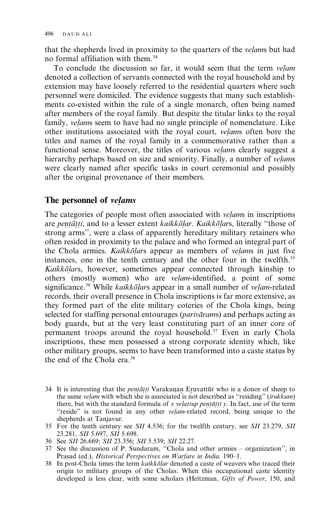that the shepherds lived in proximity to the quarters of the *velams* but had no formal affiliation with them.<sup>34</sup>

To conclude the discussion so far, it would seem that the term velam denoted a collection of servants connected with the royal household and by extension may have loosely referred to the residential quarters where such personnel were domiciled. The evidence suggests that many such establishments co-existed within the rule of a single monarch, often being named after members of the royal family. But despite the titular links to the royal family, *velams* seem to have had no single principle of nomenclature. Like other institutions associated with the royal court, velams often bore the titles and names of the royal family in a commemorative rather than a functional sense. Moreover, the titles of various velams clearly suggest a hierarchy perhaps based on size and seniority. Finally, a number of velams were clearly named after specific tasks in court ceremonial and possibly after the original provenance of their members.

## The personnel of *velams*

The categories of people most often associated with *velams* in inscriptions are pentātti, and to a lesser extent kaikkōlar. Kaikkōlars, literally "those of strong arms", were a class of apparently hereditary military retainers who often resided in proximity to the palace and who formed an integral part of the Chola armies. Kaikkolars appear as members of velams in just five instances, one in the tenth century and the other four in the twelfth.<sup>35</sup> Kaikkōļars, however, sometimes appear connected through kinship to others (mostly women) who are *velam*-identified, a point of some significance.<sup>36</sup> While kaikkolars appear in a small number of velam-related records, their overall presence in Chola inscriptions is far more extensive, as they formed part of the elite military coteries of the Chola kings, being selected for staffing personal entourages (parivarams) and perhaps acting as body guards, but at the very least constituting part of an inner core of permanent troops around the royal household.<sup>37</sup> Even in early Chola inscriptions, these men possessed a strong corporate identity which, like other military groups, seems to have been transformed into a caste status by the end of the Chola era.<sup>38</sup>

38 In post-Chola times the term kaikkolar denoted a caste of weavers who traced their origin to military groups of the Cholas. When this occupational caste identity developed is less clear, with some scholars (Heitzman, Gifts of Power, 150, and

<sup>34</sup> It is interesting that the *pentatti* Varakunan Eruvattur who is a donor of sheep to the same *velam* with which she is associated is not described as "residing" *(irukkum)* there, but with the standard formula of  $x$  velattup pentatii  $y$ . In fact, use of the term "reside" is not found in any other velam-related record, being unique to the shepherds at Tanjavur.

<sup>35</sup> For the tenth century see SII 4.536; for the twelfth century, see SII 23.279, SII 23.281, SII 5.697, SII 5.698.

<sup>36</sup> See SII 26.669; SII 23.356; SII 5.539; SII 22.27.

<sup>37</sup> See the discussion of P. Sundaram, "Chola and other armies – organization", in Prasad (ed.), Historical Perspectives on Warfare in India, 190-1.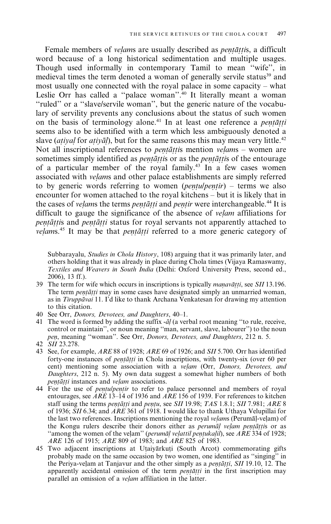Female members of *velams* are usually described as *pentattis*, a difficult word because of a long historical sedimentation and multiple usages. Though used informally in contemporary Tamil to mean "wife", in medieval times the term denoted a woman of generally servile status<sup>39</sup> and most usually one connected with the royal palace in some capacity – what Leslie Orr has called a "palace woman".<sup>40</sup> It literally meant a woman "ruled" or a "slave/servile woman", but the generic nature of the vocabulary of servility prevents any conclusions about the status of such women on the basis of terminology alone.<sup>41</sup> In at least one reference a *pentatti* seems also to be identified with a term which less ambiguously denoted a slave *(atival* for *atival*), but for the same reasons this may mean very little.<sup>42</sup> Not all inscriptional references to *pentattis* mention *velams* – women are sometimes simply identified as *pentattis* or as the *pentattis* of the entourage of a particular member of the royal family.<sup>43</sup> In a few cases women associated with *velams* and other palace establishments are simply referred to by generic words referring to women (*pentulpentir*) – terms we also encounter for women attached to the royal kitchens – but it is likely that in the cases of *velams* the terms *pentatti* and *pentir* were interchangeable.<sup>44</sup> It is difficult to gauge the significance of the absence of *velam* affiliations for pentātis and pentātii status for royal servants not apparently attached to velams.<sup>45</sup> It may be that *pentatti* referred to a more generic category of

Subbarayalu, Studies in Chola History, 108) arguing that it was primarily later, and others holding that it was already in place during Chola times (Vijaya Ramaswamy, Textiles and Weavers in South India (Delhi: Oxford University Press, second ed., 2006), 13 ff.).

- 39 The term for wife which occurs in inscriptions is typically *manavatiti*, see *SII* 13.196. The term *pentatti* may in some cases have designated simply an unmarried woman, as in Tiruppāvai 11. I'd like to thank Archana Venkatesan for drawing my attention to this citation.
- 40 See Orr, Donors, Devotees, and Daughters, 40-1.
- 41 The word is formed by adding the suffix -*al* (a verbal root meaning "to rule, receive, control or maintain", or noun meaning "man, servant, slave, labourer") to the noun pen, meaning "woman". See Orr, Donors, Devotees, and Daughters, 212 n. 5.
- $42$   $\overline{SI1}$  23.278.
- 43 See, for example, ARE 88 of 1928; ARE 69 of 1926; and SII 5.700. Orr has identified forty-one instances of *pentatti* in Chola inscriptions, with twenty-six (over 60 per cent) mentioning some association with a velam (Orr, Donors, Devotees, and Daughters, 212 n. 5). My own data suggest a somewhat higher numbers of both pentāțți instances and velam associations.
- 44 For the use of *pentulpentir* to refer to palace personnel and members of royal entourages, see ARE 13–14 of 1936 and ARE 156 of 1939. For references to kitchen staff using the terms pentatti and pentu, see SII 19.98; TAS 1.8.1; SII 7.981; ARE 8 of 1936; SII 6.34; and ARE 361 of 1918. I would like to thank Uthaya Velupillai for the last two references. Inscriptions mentioning the royal velams (Perumal-velam) of the Kongu rulers describe their donors either as perumāl velam pentāțiis or as "among the women of the velam" (perumal velattil pentukalil), see ARE 334 of 1928; ARE 126 of 1915; ARE 809 of 1983; and ARE 825 of 1983.
- 45 Two adjacent inscriptions at Utaiyarkuti (South Arcot) commemorating gifts probably made on the same occasion by two women, one identified as "singing" in the Periya-velam at Tanjavur and the other simply as a *pentatti*, SII 19.10, 12. The apparently accidental omission of the term *pentatti* in the first inscription may parallel an omission of a *velam* affiliation in the latter.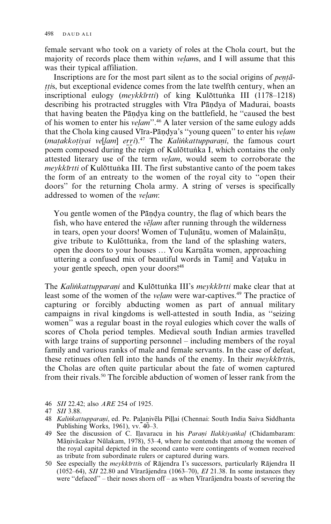female servant who took on a variety of roles at the Chola court, but the majority of records place them within *velams*, and I will assume that this was their typical affiliation.

Inscriptions are for the most part silent as to the social origins of *pentattis*, but exceptional evidence comes from the late twelfth century, when an inscriptional eulogy (*meykkīrtti*) of king Kulōttunka III (1178–1218) describing his protracted struggles with Vīra Pāṇdya of Madurai, boasts that having beaten the Pandya king on the battlefield, he "caused the best" of his women to enter his *velam*".<sup>46</sup> A later version of the same eulogy adds that the Chola king caused Vīra-Pāṇḍya's "young queen" to enter his velam (matakkotiyai ve[lam] erri).<sup>47</sup> The Kalinkattupparani, the famous court poem composed during the reign of Kulōttunka I, which contains the only attested literary use of the term velam, would seem to corroborate the *meykkīrtti* of Kulōttunka III. The first substantive canto of the poem takes the form of an entreaty to the women of the royal city to "open their doors" for the returning Chola army. A string of verses is specifically addressed to women of the velam:

You gentle women of the Pandya country, the flag of which bears the fish, who have entered the *vēlam* after running through the wilderness in tears, open your doors! Women of Tulunātu, women of Malainātu, give tribute to Kulōttunka, from the land of the splashing waters, open the doors to your houses ... You Karnāta women, approaching uttering a confused mix of beautiful words in Tamil and Vatuku in your gentle speech, open your doors!<sup>48</sup>

The Kalinkattupparani and Kulōttunka III's meykkīrtti make clear that at least some of the women of the *velam* were war-captives.<sup>49</sup> The practice of capturing or forcibly abducting women as part of annual military campaigns in rival kingdoms is well-attested in south India, as "seizing women" was a regular boast in the royal eulogies which cover the walls of scores of Chola period temples. Medieval south Indian armies travelled with large trains of supporting personnel – including members of the royal family and various ranks of male and female servants. In the case of defeat, these retinues often fell into the hands of the enemy. In their *meykkūrttis*, the Cholas are often quite particular about the fate of women captured from their rivals.<sup>50</sup> The forcible abduction of women of lesser rank from the

46 SII 22.42; also ARE 254 of 1925.

<sup>47</sup> SII 3.88.

<sup>48</sup> Kalinkattupparani, ed. Pe. Palanivēla Pillai (Chennai: South India Saiva Siddhanta Publishing Works, 1961), vv.  $4\overline{0} - 3$ .

<sup>49</sup> See the discussion of C. Ilavaracu in his Parani Ilakkiyankal (Chidambaram: Mānivācakar Nūlakam, 1978), 53-4, where he contends that among the women of the royal capital depicted in the second canto were contingents of women received as tribute from subordinate rulers or captured during wars.

<sup>50</sup> See especially the *meykkūrttis* of Rājendra I's successors, particularly Rājendra II  $(1052-64)$ , *SII* 22.80 and Virarajendra  $(1063-70)$ , *EI* 21.38. In some instances they were "defaced" – their noses shorn off – as when Vīrarājendra boasts of severing the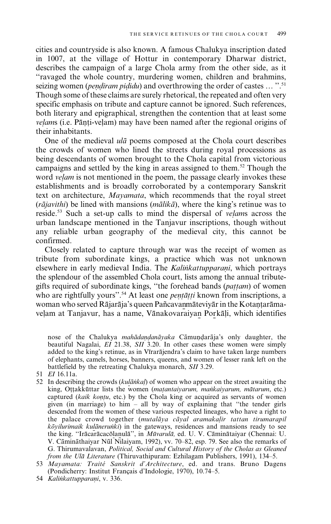cities and countryside is also known. A famous Chalukya inscription dated in 1007, at the village of Hottur in contemporary Dharwar district, describes the campaign of a large Chola army from the other side, as it "ravaged the whole country, murdering women, children and brahmins, seizing women (*pendiram pididu*) and overthrowing the order of castes ... ".<sup>51</sup> Though some of these claims are surely rhetorical, the repeated and often very specific emphasis on tribute and capture cannot be ignored. Such references, both literary and epigraphical, strengthen the contention that at least some *velams* (i.e. Pānti-velam) may have been named after the regional origins of their inhabitants.

One of the medieval *ula* poems composed at the Chola court describes the crowds of women who lined the streets during royal processions as being descendants of women brought to the Chola capital from victorious campaigns and settled by the king in areas assigned to them.<sup>52</sup> Though the word *velam* is not mentioned in the poem, the passage clearly invokes these establishments and is broadly corroborated by a contemporary Sanskrit text on architecture, Mayamata, which recommends that the royal street (rājavithi) be lined with mansions ( $m\bar{a}$ likā), where the king's retinue was to reside.<sup>53</sup> Such a set-up calls to mind the dispersal of *velams* across the urban landscape mentioned in the Tanjavur inscriptions, though without any reliable urban geography of the medieval city, this cannot be confirmed.

Closely related to capture through war was the receipt of women as tribute from subordinate kings, a practice which was not unknown elsewhere in early medieval India. The Kalinkattupparani, which portrays the splendour of the assembled Chola court, lists among the annual tributegifts required of subordinate kings, "the forehead bands (pattam) of women who are rightfully yours".<sup>54</sup> At least one *pentatti* known from inscriptions, a woman who served Rājarāja's queen Pañcavanmāteviyār in the Kotantarāmavelam at Tanjavur, has a name, Vānakovaraiyan Porkāļi, which identifies

nose of the Chalukya mahādaņdanāyaka Cāmuņdarāja's only daughter, the beautiful Nagalai, EI 21.38, SII 3.20. In other cases these women were simply added to the king's retinue, as in Vīrarājendra's claim to have taken large numbers of elephants, camels, horses, banners, queens, and women of lesser rank left on the battlefield by the retreating Chalukya monarch, SII 3.29.

- 52 In describing the crowds (kulānkal) of women who appear on the street awaiting the king, Ottakkūttar lists the women (*matantaivarum, mankaivarum, mātarum*, etc.) captured *(kaik kontu, etc.)* by the Chola king or acquired as servants of women given (in marriage) to  $him - all$  by way of explaining that "the tender girls descended from the women of these various respected lineages, who have a right to the palace crowd together (mutalāya cāyal aramakaļir tattan tirumarapil kōyilurimaik kulānerunki) in the gateways, residences and mansions ready to see the king. "Irācarācacolanulā", in Mūvarulā, ed. U. V. Cāminātaiyar (Chennai: U. V. Cāmināthaiyar Nūl Nilaiyam, 1992), vv. 70-82, esp. 79. See also the remarks of G. Thirumavalavan, Political, Social and Cultural History of the Cholas as Gleaned from the Ulā Literature (Thiruvathipuram: Ezhilagam Publishers, 1991), 134-5.
- 53 Mayamata: Traité Sanskrit d'Architecture, ed. and trans. Bruno Dagens (Pondicherry: Institut Français d'Indologie, 1970), 10.74-5.
- 54 Kalinkattupparani, v. 336.

<sup>51</sup> EI 16.11a.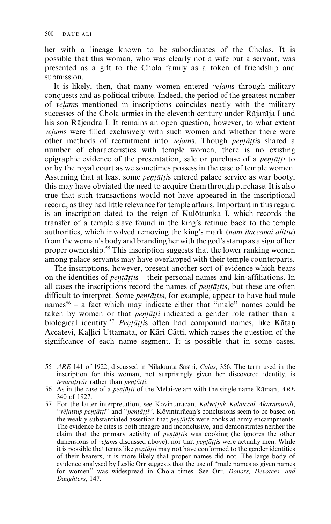her with a lineage known to be subordinates of the Cholas. It is possible that this woman, who was clearly not a wife but a servant, was presented as a gift to the Chola family as a token of friendship and submission.

It is likely, then, that many women entered velams through military conquests and as political tribute. Indeed, the period of the greatest number of velams mentioned in inscriptions coincides neatly with the military successes of the Chola armies in the eleventh century under Rājarāja I and his son Rājendra I. It remains an open question, however, to what extent velams were filled exclusively with such women and whether there were other methods of recruitment into velams. Though pentatiis shared a number of characteristics with temple women, there is no existing epigraphic evidence of the presentation, sale or purchase of a *pentatti* to or by the royal court as we sometimes possess in the case of temple women. Assuming that at least some *pentattis* entered palace service as war booty, this may have obviated the need to acquire them through purchase. It is also true that such transactions would not have appeared in the inscriptional record, as they had little relevance for temple affairs. Important in this regard is an inscription dated to the reign of Kulottunka I, which records the transfer of a temple slave found in the king's retinue back to the temple authorities, which involved removing the king's mark (nam ilaccanai alittu) from the woman's body and branding her with the god's stamp as a sign of her proper ownership.<sup>55</sup> This inscription suggests that the lower ranking women among palace servants may have overlapped with their temple counterparts.

The inscriptions, however, present another sort of evidence which bears on the identities of *pentatis* – their personal names and kin-affiliations. In all cases the inscriptions record the names of *pentattis*, but these are often difficult to interpret. Some *pentattis*, for example, appear to have had male names<sup>56</sup> – a fact which may indicate either that "male" names could be taken by women or that *pentatti* indicated a gender role rather than a biological identity.<sup>57</sup> Pentāttis often had compound names, like Kātan Accatevi, Kallici Uttamata, or Kāri Cātti, which raises the question of the significance of each name segment. It is possible that in some cases,

<sup>55</sup> ARE 141 of 1922, discussed in Nilakanta Sastri, Colas, 356. The term used in the inscription for this woman, not surprisingly given her discovered identity, is tevarativār rather than pentātti.

<sup>56</sup> As in the case of a *pentatti* of the Melai-velam with the single name Rāman, ARE 340 of 1927.

<sup>57</sup> For the latter interpretation, see Kōvintarācan, Kalvețtuk Kalaiccol Akaramutali, "vēļattup peņtātīti" and "pentātīti". Kōvintarācan's conclusions seem to be based on the weakly substantiated assertion that *pentātit*s were cooks at army encampments. The evidence he cites is both meagre and inconclusive, and demonstrates neither the claim that the primary activity of *pentattis* was cooking (he ignores the other dimensions of velams discussed above), nor that pentatiis were actually men. While it is possible that terms like *pentātti* may not have conformed to the gender identities of their bearers, it is more likely that proper names did not. The large body of evidence analysed by Leslie Orr suggests that the use of "male names as given names for women" was widespread in Chola times. See Orr, Donors, Devotees, and Daughters, 147.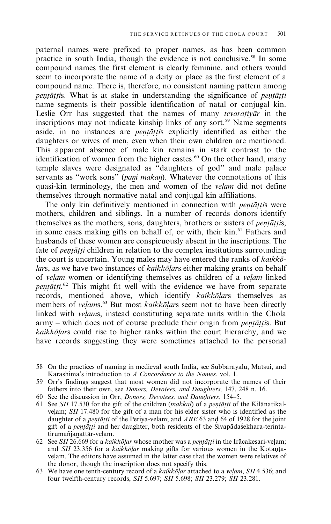paternal names were prefixed to proper names, as has been common practice in south India, though the evidence is not conclusive.<sup>58</sup> In some compound names the first element is clearly feminine, and others would seem to incorporate the name of a deity or place as the first element of a compound name. There is, therefore, no consistent naming pattern among *pentāttis*. What is at stake in understanding the significance of *pentātti* name segments is their possible identification of natal or conjugal kin. Leslie Orr has suggested that the names of many *tevarativar* in the inscriptions may not indicate kinship links of any sort.<sup>59</sup> Name segments aside, in no instances are *pentattis* explicitly identified as either the daughters or wives of men, even when their own children are mentioned. This apparent absence of male kin remains in stark contrast to the identification of women from the higher castes.<sup>60</sup> On the other hand, many temple slaves were designated as "daughters of god" and male palace servants as "work sons" (pani makan). Whatever the connotations of this quasi-kin terminology, the men and women of the *velam* did not define themselves through normative natal and conjugal kin affiliations.

The only kin definitively mentioned in connection with *pentattis* were mothers, children and siblings. In a number of records donors identify themselves as the mothers, sons, daughters, brothers or sisters of *pentāttis*, in some cases making gifts on behalf of, or with, their kin.<sup>61</sup> Fathers and husbands of these women are conspicuously absent in the inscriptions. The fate of *pentatti* children in relation to the complex institutions surrounding the court is uncertain. Young males may have entered the ranks of kaikkōlars, as we have two instances of kaikkolars either making grants on behalf of velam women or identifying themselves as children of a velam linked pentāti.<sup>62</sup> This might fit well with the evidence we have from separate records, mentioned above, which identify kaikkolars themselves as members of velams.<sup>63</sup> But most kaikkolars seem not to have been directly linked with *velams*, instead constituting separate units within the Chola army - which does not of course preclude their origin from *pentattis*. But kaikkolars could rise to higher ranks within the court hierarchy, and we have records suggesting they were sometimes attached to the personal

- 58 On the practices of naming in medieval south India, see Subbarayalu, Matsui, and Karashima's introduction to A Concordance to the Names, vol. 1.
- 59 Orr's findings suggest that most women did not incorporate the names of their fathers into their own, see Donors, Devotees, and Daughters, 147, 248 n. 16.
- 60 See the discussion in Orr, *Donors*, *Devotees*, and *Daughters*, 154–5.
- 61 See SII 17.530 for the gift of the children (makkal) of a pentation of the Kilanatikalvelam; SII 17.480 for the gift of a man for his elder sister who is identified as the daughter of a pentati of the Periya-velam; and ARE 63 and 64 of 1928 for the joint gift of a *pentatti* and her daughter, both residents of the Sivapadasekhara-terintatirumañjanattār-velam.
- 62 See SII 26.669 for a kaikkolar whose mother was a pentati in the Iracakesari-velam; and SII 23.356 for a kaikkolar making gifts for various women in the Kotantavelam. The editors have assumed in the latter case that the women were relatives of the donor, though the inscription does not specify this.
- 63 We have one tenth-century record of a kaikkolar attached to a velam, SII 4.536; and four twelfth-century records, SII 5.697; SII 5.698; SII 23.279; SII 23.281.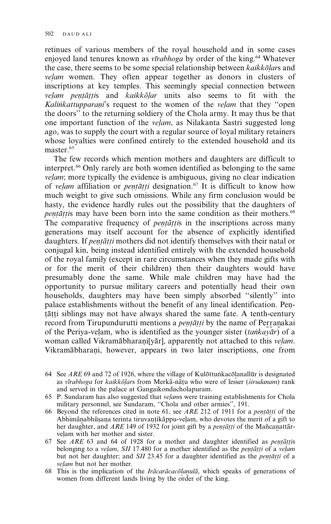retinues of various members of the royal household and in some cases enjoyed land tenures known as vīrabhoga by order of the king.<sup>64</sup> Whatever the case, there seems to be some special relationship between kaikkolars and velam women. They often appear together as donors in clusters of inscriptions at key temples. This seemingly special connection between velam pentāttis and kaikkōlar units also seems to fit with the Kalinkattupparani's request to the women of the velam that they "open the doors" to the returning soldiery of the Chola army. It may thus be that one important function of the *velam*, as Nilakanta Sastri suggested long ago, was to supply the court with a regular source of loyal military retainers whose lovalties were confined entirely to the extended household and its master.<sup>65</sup>

The few records which mention mothers and daughters are difficult to interpret.<sup>66</sup> Only rarely are both women identified as belonging to the same velam; more typically the evidence is ambiguous, giving no clear indication of velam affiliation or *pentatti* designation.<sup>67</sup> It is difficult to know how much weight to give such omissions. While any firm conclusion would be hasty, the evidence hardly rules out the possibility that the daughters of pentāttis may have been born into the same condition as their mothers.<sup>68</sup> The comparative frequency of *pentattis* in the inscriptions across many generations may itself account for the absence of explicitly identified daughters. If *pentatti* mothers did not identify themselves with their natal or conjugal kin, being instead identified entirely with the extended household of the royal family (except in rare circumstances when they made gifts with or for the merit of their children) then their daughters would have presumably done the same. While male children may have had the opportunity to pursue military careers and potentially head their own households, daughters may have been simply absorbed "silently" into palace establishments without the benefit of any lineal identification. Pentātti siblings may not have always shared the same fate. A tenth-century record from Tirupundurutti mentions a pentatii by the name of Perranakai of the Periya-velam, who is identified as the younger sister (tankayar) of a woman called Vikramābharaṇi[yār], apparently not attached to this velam. Vikramābharani, however, appears in two later inscriptions, one from

- 65 P. Sundaram has also suggested that velams were training establishments for Chola military personnel, see Sundaram, "Chola and other armies", 191.
- 66 Beyond the references cited in note 61, see ARE 212 of 1911 for a *pentatti* of the Abhimānabhūșana terinta tiruvanțikāppu-velam, who devotes the merit of a gift to her daughter, and ARE 149 of 1932 for joint gift by a *pentatti* of the Mañcanattarvelam with her mother and sister.
- 67 See ARE 63 and 64 of 1928 for a mother and daughter identified as pentatiis belonging to a velam, SII 17.480 for a mother identified as the pentatti of a velam but not her daughter; and SII 23.45 for a daughter identified as the *pentatti* of a velam but not her mother.
- 68 This is the implication of the Irācarācacolanulā, which speaks of generations of women from different lands living by the order of the king.

<sup>64</sup> See ARE 69 and 72 of 1926, where the village of Kulōttunkacōlanallūr is designated as vīrabhoga for kaikkōlars from Merkā-nātu who were of lesser (sirudanam) rank and served in the palace at Gangaikondacholapuram.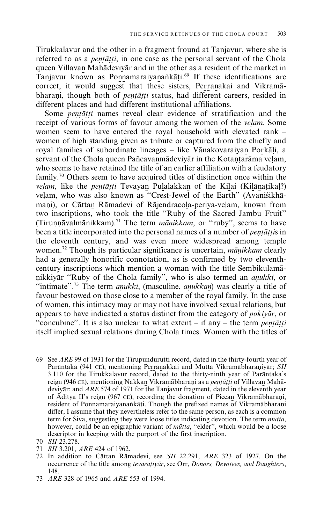Tirukkalayur and the other in a fragment fround at Taniayur, where she is referred to as a *pentatti*, in one case as the personal servant of the Chola queen Villavan Mahādeviyār and in the other as a resident of the market in Tanjavur known as Ponnamaraiyanankāți.<sup>69</sup> If these identifications are correct, it would suggest that these sisters, Perranakai and Vikramabharani, though both of *pentātti* status, had different careers, resided in different places and had different institutional affiliations.

Some *pentātti* names reveal clear evidence of stratification and the receipt of various forms of favour among the women of the *velam*. Some women seem to have entered the royal household with elevated rank women of high standing given as tribute or captured from the chiefly and roval families of subordinate lineages - like Vānakovaraiyan Porkāli, a servant of the Chola queen Pañcavanmādeviyār in the Kotantarāma veļam, who seems to have retained the title of an earlier affiliation with a feudatory family.<sup>70</sup> Others seem to have acquired titles of distinction once within the velam, like the pentātti Tevayan Pulalakkan of the Kilai (Kilānațikal?) velam, who was also known as "Crest-Jewel of the Earth" (Avanisikhamani), or Cāttan Rāmadevi of Rājendracola-periya-veļam, known from two inscriptions, who took the title "Ruby of the Sacred Jambu Fruit" (Tirunnāvalmānikkam).<sup>71</sup> The term mānikkam, or "ruby", seems to have been a title incorporated into the personal names of a number of *pentattis* in the eleventh century, and was even more widespread among temple women.<sup>72</sup> Though its particular significance is uncertain, *mānikkam* clearly had a generally honorific connotation, as is confirmed by two eleventhcentury inscriptions which mention a woman with the title Sembikulamanikkiyār "Ruby of the Chola family", who is also termed an *anukki*, or "intimate".<sup>73</sup> The term *anukki*, (masculine, *anukkan*) was clearly a title of favour bestowed on those close to a member of the royal family. In the case of women, this intimacy may or may not have involved sexual relations, but appears to have indicated a status distinct from the category of *pokiyar*, or "concubine". It is also unclear to what extent – if any – the term *pentatii* itself implied sexual relations during Chola times. Women with the titles of

- 69 See ARE 99 of 1931 for the Tirupundurutti record, dated in the thirty-fourth vear of Parāntaka (941 CE), mentioning Perranakkai and Mutta Vikramābharaniyār; SII 3.110 for the Tirukkalavur record, dated to the thirty-ninth year of Parantaka's reign (946 CE), mentioning Nakkan Vikramābharani as a pentātti of Villavan Mahādeviyar; and ARE 574 of 1971 for the Tanjavur fragment, dated in the eleventh year of Aditya II's reign (967 CE), recording the donation of Piccan Vikramabharani, resident of Ponnamaraiyanankāți. Though the prefixed names of Vikramābharani differ, I assume that they nevertheless refer to the same person, as each is a common term for Siva, suggesting they were loose titles indicating devotion. The term *mutta*, however, could be an epigraphic variant of *mūtta*, "elder", which would be a loose descriptor in keeping with the purport of the first inscription.
- 70 SII 23.278.
- 71 SII 3.201, ARE 424 of 1962.
- 72 In addition to Cattan Ramadevi, see SII 22.291, ARE 323 of 1927. On the occurrence of the title among tevarativar, see Orr, Donors, Devotees, and Daughters, 148.
- 73 *ARE* 328 of 1965 and *ARE* 553 of 1994.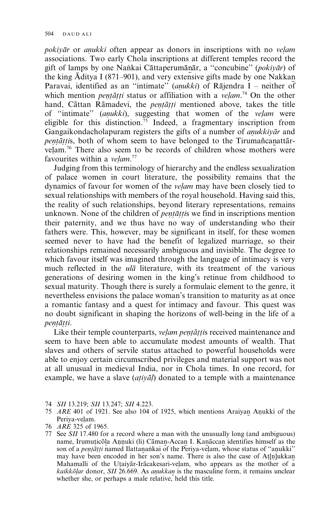*pokivār* or *anukki* often appear as donors in inscriptions with no *velam* associations. Two early Chola inscriptions at different temples record the gift of lamps by one Nankai Cāttaperumānār, a "concubine" (pokiyār) of the king Aditya I (871–901), and very extensive gifts made by one Nakkan Paravai, identified as an "intimate" (anukki) of Rājendra I - neither of which mention *pentatti* status or affiliation with a *velam*.<sup>74</sup> On the other hand, Cāttan Rāmadevi, the pentāții mentioned above, takes the title of "intimate" (anukki), suggesting that women of the velam were eligible for this distinction.<sup>75</sup> Indeed, a fragmentary inscription from Gangaikondacholapuram registers the gifts of a number of *anukkiyar* and *pentāttis*, both of whom seem to have belonged to the Tirumañcanattārvelam.<sup>76</sup> There also seem to be records of children whose mothers were favourites within a *velam*.<sup>77</sup>

Judging from this terminology of hierarchy and the endless sexualization of palace women in court literature, the possibility remains that the dynamics of favour for women of the *velam* may have been closely tied to sexual relationships with members of the royal household. Having said this, the reality of such relationships, beyond literary representations, remains unknown. None of the children of *pentattis* we find in inscriptions mention their paternity, and we thus have no way of understanding who their fathers were. This, however, may be significant in itself, for these women seemed never to have had the benefit of legalized marriage, so their relationships remained necessarily ambiguous and invisible. The degree to which favour itself was imagined through the language of intimacy is very much reflected in the *ula* literature, with its treatment of the various generations of desiring women in the king's retinue from childhood to sexual maturity. Though there is surely a formulaic element to the genre, it nevertheless envisions the palace woman's transition to maturity as at once a romantic fantasy and a quest for intimacy and favour. This quest was no doubt significant in shaping the horizons of well-being in the life of a pentātti.

Like their temple counterparts, velam pentātiis received maintenance and seem to have been able to accumulate modest amounts of wealth. That slaves and others of servile status attached to powerful households were able to enjoy certain circumscribed privileges and material support was not at all unusual in medieval India, nor in Chola times. In one record, for example, we have a slave *(atiyal)* donated to a temple with a maintenance

- 74 SII 13.219; SII 13.247; SII 4.223.
- 75 ARE 401 of 1921. See also 104 of 1925, which mentions Araiyan Anukki of the Periva-velam.

<sup>76</sup> ARE 325 of 1965.

<sup>77</sup> See SII 17.480 for a record where a man with the unusually long (and ambiguous) name, Irumuticola Annuki (li) Cāman-Accan I. Kanāccan identifies himself as the son of a pentātti named Ilattanankai of the Periya-velam, whose status of "anukki" may have been encoded in her son's name. There is also the case of At[n]ukkan Mahamalli of the Utaiyar-Iracakesari-velam, who appears as the mother of a kaikkōlar donor, SII 26.669. As anukkan is the masculine form, it remains unclear whether she, or perhaps a male relative, held this title.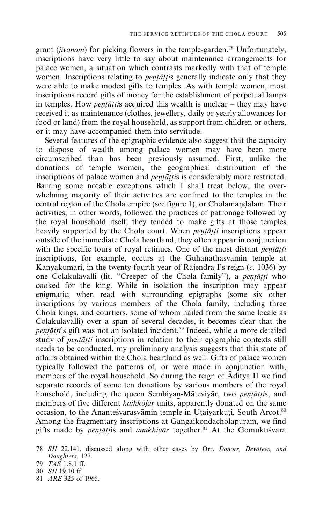grant ( $\bar{u}$ vanam) for picking flowers in the temple-garden.<sup>78</sup> Unfortunately, inscriptions have very little to say about maintenance arrangements for palace women, a situation which contrasts markedly with that of temple women. Inscriptions relating to *pentattis* generally indicate only that they were able to make modest gifts to temples. As with temple women, most inscriptions record gifts of money for the establishment of perpetual lamps in temples. How *pentattis* acquired this wealth is unclear  $-$  they may have received it as maintenance (clothes, jewellery, daily or yearly allowances for food or land) from the royal household, as support from children or others, or it may have accompanied them into servitude.

Several features of the epigraphic evidence also suggest that the capacity to dispose of wealth among palace women may have been more circumscribed than has been previously assumed. First, unlike the donations of temple women, the geographical distribution of the inscriptions of palace women and *pentattis* is considerably more restricted. Barring some notable exceptions which I shall treat below, the overwhelming majority of their activities are confined to the temples in the central region of the Chola empire (see figure 1), or Cholamandalam. Their activities, in other words, followed the practices of patronage followed by the royal household itself; they tended to make gifts at those temples heavily supported by the Chola court. When *pentatti* inscriptions appear outside of the immediate Chola heartland, they often appear in conjunction with the specific tours of royal retinues. One of the most distant *pentatti* inscriptions, for example, occurs at the Guhanāthasvāmin temple at Kanyakumari, in the twenty-fourth year of Rājendra I's reign  $(c. 1036)$  by one Colakulavalli (lit. "Creeper of the Chola family"), a pentatti who cooked for the king. While in isolation the inscription may appear enigmatic, when read with surrounding epigraphs (some six other inscriptions by various members of the Chola family, including three Chola kings, and courtiers, some of whom hailed from the same locale as Colakulavalli) over a span of several decades, it becomes clear that the pentāti's gift was not an isolated incident.<sup>79</sup> Indeed, while a more detailed study of *pentatti* inscriptions in relation to their epigraphic contexts still needs to be conducted, my preliminary analysis suggests that this state of affairs obtained within the Chola heartland as well. Gifts of palace women typically followed the patterns of, or were made in conjunction with, members of the royal household. So during the reign of Aditya II we find separate records of some ten donations by various members of the royal household, including the queen Sembiyan-Māteviyār, two pentāttis, and members of five different kaikkolar units, apparently donated on the same occasion, to the Ananteśvarasvāmin temple in Utaiyarkuți, South Arcot.<sup>80</sup> Among the fragmentary inscriptions at Gangaikondacholapuram, we find gifts made by *pentāttis* and *anukkiyār* together.<sup>81</sup> At the Gomuktīśvara

<sup>78</sup> SII 22.141, discussed along with other cases by Orr, Donors, Devotees, and Daughters, 127.

<sup>79</sup> TAS 1.8.1 ff.

<sup>80</sup> SII 19.10 ff.

<sup>81</sup> *ARE* 325 of 1965.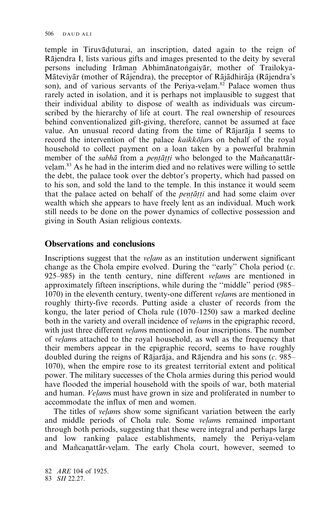temple in Tiruvaduturai, an inscription, dated again to the reign of Rājendra I, lists various gifts and images presented to the deity by several persons including Irāman Abhimānatongaivār, mother of Trailokva-Māteviyār (mother of Rājendra), the preceptor of Rājādhirāja (Rājendra's son), and of various servants of the Periya-velam.<sup>82</sup> Palace women thus rarely acted in isolation, and it is perhaps not implausible to suggest that their individual ability to dispose of wealth as individuals was circumscribed by the hierarchy of life at court. The real ownership of resources behind conventionalized gift-giving, therefore, cannot be assumed at face value. An unusual record dating from the time of Rājarāja I seems to record the intervention of the palace kaikkolars on behalf of the royal household to collect payment on a loan taken by a powerful brahmin member of the *sabha* from a *pentatti* who belonged to the Mañcanattarvelam.<sup>83</sup> As he had in the interim died and no relatives were willing to settle the debt, the palace took over the debtor's property, which had passed on to his son, and sold the land to the temple. In this instance it would seem that the palace acted on behalf of the *pentatti* and had some claim over wealth which she appears to have freely lent as an individual. Much work still needs to be done on the power dynamics of collective possession and giving in South Asian religious contexts.

## **Observations and conclusions**

Inscriptions suggest that the *velam* as an institution underwent significant change as the Chola empire evolved. During the "early" Chola period  $(c.$ 925–985) in the tenth century, nine different *velams* are mentioned in approximately fifteen inscriptions, while during the "middle" period (985– 1070) in the eleventh century, twenty-one different *velams* are mentioned in roughly thirty-five records. Putting aside a cluster of records from the kongu, the later period of Chola rule  $(1070-1250)$  saw a marked decline both in the variety and overall incidence of velams in the epigraphic record, with just three different velams mentioned in four inscriptions. The number of *velams* attached to the royal household, as well as the frequency that their members appear in the epigraphic record, seems to have roughly doubled during the reigns of Rājarāja, and Rājendra and his sons  $(c. 985-$ 1070), when the empire rose to its greatest territorial extent and political power. The military successes of the Chola armies during this period would have flooded the imperial household with the spoils of war, both material and human. Velams must have grown in size and proliferated in number to accommodate the influx of men and women.

The titles of *velams* show some significant variation between the early and middle periods of Chola rule. Some velams remained important through both periods, suggesting that these were integral and perhaps large and low ranking palace establishments, namely the Periya-velam and Mañcanattār-veļam. The early Chola court, however, seemed to

82 ARE 104 of 1925. 83 SII 22.27.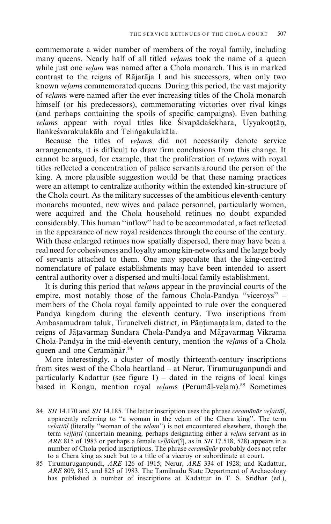commemorate a wider number of members of the royal family, including many queens. Nearly half of all titled velams took the name of a queen while just one *velam* was named after a Chola monarch. This is in marked contrast to the reigns of Rājarāja I and his successors, when only two known velams commemorated queens. During this period, the vast majority of *velams* were named after the ever increasing titles of the Chola monarch himself (or his predecessors), commemorating victories over rival kings (and perhaps containing the spoils of specific campaigns). Even bathing velams appear with royal titles like Sivapādasekhara, Uyyakontān, Ilankeśvarakulakāla and Telingakulakāla.

Because the titles of velams did not necessarily denote service arrangements, it is difficult to draw firm conclusions from this change. It cannot be argued, for example, that the proliferation of *velams* with royal titles reflected a concentration of palace servants around the person of the king. A more plausible suggestion would be that these naming practices were an attempt to centralize authority within the extended kin-structure of the Chola court. As the military successes of the ambitious eleventh-century monarchs mounted, new wives and palace personnel, particularly women, were acquired and the Chola household retinues no doubt expanded considerably. This human "inflow" had to be accommodated, a fact reflected in the appearance of new royal residences through the course of the century. With these enlarged retinues now spatially dispersed, there may have been a real need for cohesiveness and loyalty among kin-networks and the large body of servants attached to them. One may speculate that the king-centred nomenclature of palace establishments may have been intended to assert central authority over a dispersed and multi-local family establishment.

It is during this period that *velams* appear in the provincial courts of the empire, most notably those of the famous Chola-Pandya "viceroys" – members of the Chola royal family appointed to rule over the conquered Pandya kingdom during the eleventh century. Two inscriptions from Ambasamudram taluk, Tirunelveli district, in Pāntimantalam, dated to the reigns of Jāṭavarman Sundara Chola-Pandya and Māravarman Vikrama Chola-Pandya in the mid-eleventh century, mention the velams of a Chola queen and one Ceramānār.<sup>84</sup>

More interestingly, a cluster of mostly thirteenth-century inscriptions from sites west of the Chola heartland – at Nerur, Tirumuruganpundi and particularly Kadattur (see figure 1) – dated in the reigns of local kings based in Kongu, mention royal velams (Perumāl-velam).<sup>85</sup> Sometimes

<sup>84</sup> SII 14.170 and SII 14.185. The latter inscription uses the phrase ceramānār velattāl, apparently referring to "a woman in the velam of the Chera king". The term velattāļ (literally "woman of the velam") is not encountered elsewhere, though the term vellații (uncertain meaning, perhaps designating either a velam servant as in ARE 815 of 1983 or perhaps a female vellalar[?], as in SII 17.518, 528) appears in a number of Chola period inscriptions. The phrase ceramanar probably does not refer to a Chera king as such but to a title of a viceroy or subordinate at court.

<sup>85</sup> Tirumuruganpundi, ARE 126 of 1915; Nerur, ARE 334 of 1928; and Kadattur, ARE 809, 815, and 825 of 1983. The Tamilnadu State Department of Archaeology has published a number of inscriptions at Kadattur in T. S. Sridhar (ed.),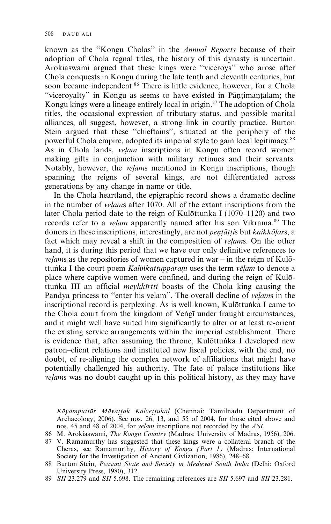known as the "Kongu Cholas" in the *Annual Reports* because of their adoption of Chola regnal titles, the history of this dynasty is uncertain. Arokiaswami argued that these kings were "viceroys" who arose after Chola conquests in Kongu during the late tenth and eleventh centuries, but soon became independent.<sup>86</sup> There is little evidence, however, for a Chola "viceroyalty" in Kongu as seems to have existed in Pantimantalam; the Kongu kings were a lineage entirely local in origin.<sup>87</sup> The adoption of Chola titles, the occasional expression of tributary status, and possible marital alliances, all suggest, however, a strong link in courtly practice. Burton Stein argued that these "chieftains", situated at the periphery of the powerful Chola empire, adopted its imperial style to gain local legitimacy.<sup>88</sup> As in Chola lands, *velam* inscriptions in Kongu often record women making gifts in conjunction with military retinues and their servants. Notably, however, the *velams* mentioned in Kongu inscriptions, though spanning the reigns of several kings, are not differentiated across generations by any change in name or title.

In the Chola heartland, the epigraphic record shows a dramatic decline in the number of *velams* after 1070. All of the extant inscriptions from the later Chola period date to the reign of Kulōttunka I (1070–1120) and two records refer to a *velam* apparently named after his son Vikrama.<sup>89</sup> The donors in these inscriptions, interestingly, are not *pentattis* but *kaikkolars*, a fact which may reveal a shift in the composition of *velams*. On the other hand, it is during this period that we have our only definitive references to *velams* as the repositories of women captured in war – in the reign of Kulōttunka I the court poem Kalinkattupparani uses the term vēlam to denote a place where captive women were confined, and during the reign of Kulōttunka III an official *meykkūrtti* boasts of the Chola king causing the Pandya princess to "enter his velam". The overall decline of velams in the inscriptional record is perplexing. As is well known, Kulōttunka I came to the Chola court from the kingdom of Vengi under fraught circumstances, and it might well have suited him significantly to alter or at least re-orient the existing service arrangements within the imperial establishment. There is evidence that, after assuming the throne, Kulōttuṅka I developed new patron-client relations and instituted new fiscal policies, with the end, no doubt, of re-aligning the complex network of affiliations that might have potentially challenged his authority. The fate of palace institutions like *velams* was no doubt caught up in this political history, as they may have

Köyamputtūr Māvattak Kalvettukal (Chennai: Tamilnadu Department of Archaeology, 2006). See nos. 26, 13, and 55 of 2004, for those cited above and nos. 45 and 48 of 2004, for *velam* inscriptions not recorded by the ASI.

- 86 M. Arokiaswami, The Kongu Country (Madras: University of Madras, 1956), 206.
- 87 V. Ramamurthy has suggested that these kings were a collateral branch of the Cheras, see Ramamurthy, History of Kongu (Part 1) (Madras: International Society for the Investigation of Ancient Civlization, 1986), 248-68.
- 88 Burton Stein, Peasant State and Society in Medieval South India (Delhi: Oxford University Press, 1980), 312.
- 89 SII 23.279 and SII 5.698. The remaining references are SII 5.697 and SII 23.281.